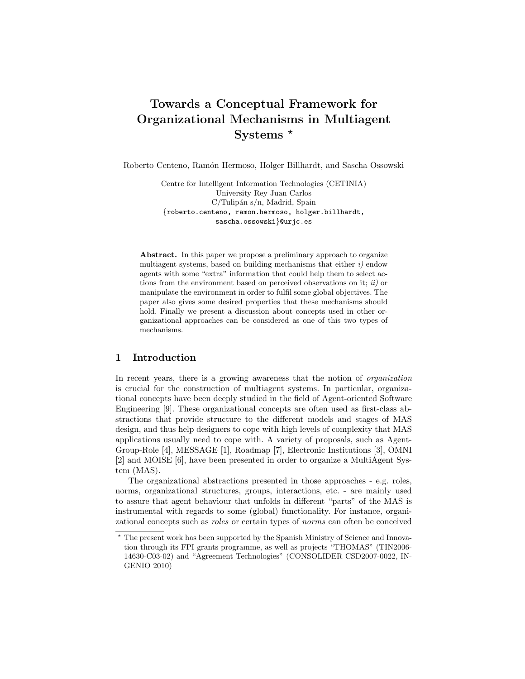# Towards a Conceptual Framework for Organizational Mechanisms in Multiagent Systems  $*$

Roberto Centeno, Ramón Hermoso, Holger Billhardt, and Sascha Ossowski

Centre for Intelligent Information Technologies (CETINIA) University Rey Juan Carlos  $C/Tulipán s/n, Madrid, Spain$ {roberto.centeno, ramon.hermoso, holger.billhardt, sascha.ossowski}@urjc.es

Abstract. In this paper we propose a preliminary approach to organize multiagent systems, based on building mechanisms that either  $i$ ) endow agents with some "extra" information that could help them to select actions from the environment based on perceived observations on it;  $ii)$  or manipulate the environment in order to fulfil some global objectives. The paper also gives some desired properties that these mechanisms should hold. Finally we present a discussion about concepts used in other organizational approaches can be considered as one of this two types of mechanisms.

#### 1 Introduction

In recent years, there is a growing awareness that the notion of organization is crucial for the construction of multiagent systems. In particular, organizational concepts have been deeply studied in the field of Agent-oriented Software Engineering [9]. These organizational concepts are often used as first-class abstractions that provide structure to the different models and stages of MAS design, and thus help designers to cope with high levels of complexity that MAS applications usually need to cope with. A variety of proposals, such as Agent-Group-Role [4], MESSAGE [1], Roadmap [7], Electronic Institutions [3], OMNI [2] and MOISE [6], have been presented in order to organize a MultiAgent System (MAS).

The organizational abstractions presented in those approaches - e.g. roles, norms, organizational structures, groups, interactions, etc. - are mainly used to assure that agent behaviour that unfolds in different "parts" of the MAS is instrumental with regards to some (global) functionality. For instance, organizational concepts such as roles or certain types of norms can often be conceived

<sup>?</sup> The present work has been supported by the Spanish Ministry of Science and Innovation through its FPI grants programme, as well as projects "THOMAS" (TIN2006- 14630-C03-02) and "Agreement Technologies" (CONSOLIDER CSD2007-0022, IN-GENIO 2010)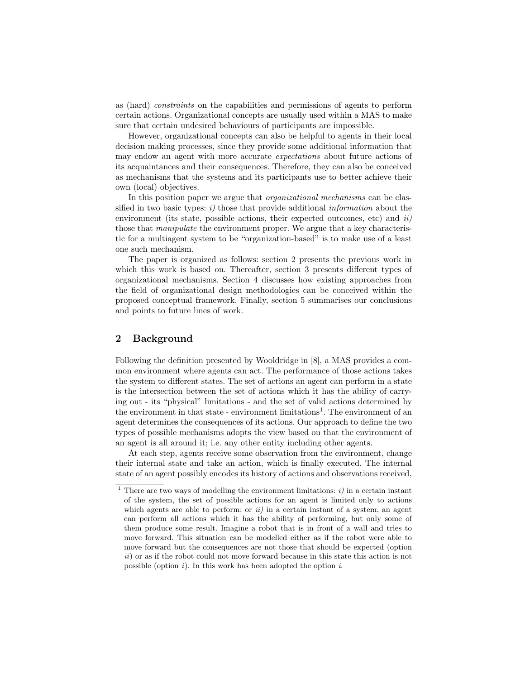as (hard) constraints on the capabilities and permissions of agents to perform certain actions. Organizational concepts are usually used within a MAS to make sure that certain undesired behaviours of participants are impossible.

However, organizational concepts can also be helpful to agents in their local decision making processes, since they provide some additional information that may endow an agent with more accurate expectations about future actions of its acquaintances and their consequences. Therefore, they can also be conceived as mechanisms that the systems and its participants use to better achieve their own (local) objectives.

In this position paper we argue that *organizational mechanisms* can be classified in two basic types:  $i$ ) those that provide additional *information* about the environment (its state, possible actions, their expected outcomes, etc) and  $ii$ ) those that manipulate the environment proper. We argue that a key characteristic for a multiagent system to be "organization-based" is to make use of a least one such mechanism.

The paper is organized as follows: section 2 presents the previous work in which this work is based on. Thereafter, section 3 presents different types of organizational mechanisms. Section 4 discusses how existing approaches from the field of organizational design methodologies can be conceived within the proposed conceptual framework. Finally, section 5 summarises our conclusions and points to future lines of work.

# 2 Background

Following the definition presented by Wooldridge in [8], a MAS provides a common environment where agents can act. The performance of those actions takes the system to different states. The set of actions an agent can perform in a state is the intersection between the set of actions which it has the ability of carrying out - its "physical" limitations - and the set of valid actions determined by the environment in that state - environment limitations<sup>1</sup>. The environment of an agent determines the consequences of its actions. Our approach to define the two types of possible mechanisms adopts the view based on that the environment of an agent is all around it; i.e. any other entity including other agents.

At each step, agents receive some observation from the environment, change their internal state and take an action, which is finally executed. The internal state of an agent possibly encodes its history of actions and observations received,

<sup>&</sup>lt;sup>1</sup> There are two ways of modelling the environment limitations:  $i$ ) in a certain instant of the system, the set of possible actions for an agent is limited only to actions which agents are able to perform; or  $ii)$  in a certain instant of a system, an agent can perform all actions which it has the ability of performing, but only some of them produce some result. Imagine a robot that is in front of a wall and tries to move forward. This situation can be modelled either as if the robot were able to move forward but the consequences are not those that should be expected (option ii) or as if the robot could not move forward because in this state this action is not possible (option  $i$ ). In this work has been adopted the option  $i$ .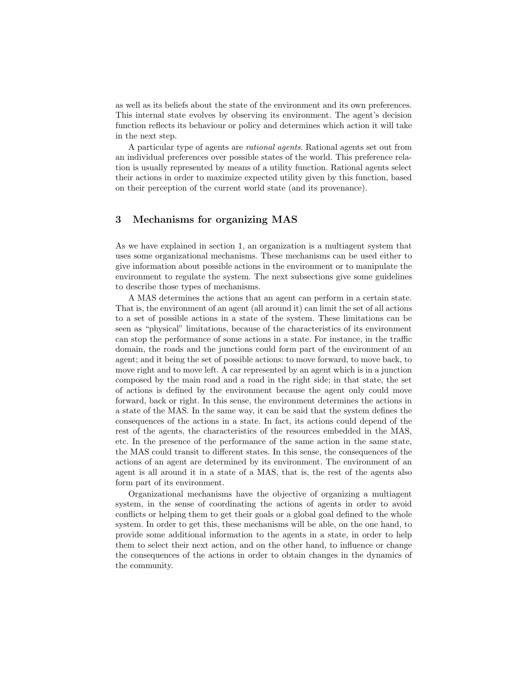as well as its beliefs about the state of the environment and its own preferences. This internal state evolves by observing its environment. The agent's decision function reflects its behaviour or policy and determines which action it will take in the next step.

A particular type of agents are rational agents. Rational agents set out from an individual preferences over possible states of the world. This preference relation is usually represented by means of a utility function. Rational agents select their actions in order to maximize expected utility given by this function, based on their perception of the current world state (and its provenance).

## 3 Mechanisms for organizing MAS

As we have explained in section 1, an organization is a multiagent system that uses some organizational mechanisms. These mechanisms can be used either to give information about possible actions in the environment or to manipulate the environment to regulate the system. The next subsections give some guidelines to describe those types of mechanisms.

A MAS determines the actions that an agent can perform in a certain state. That is, the environment of an agent (all around it) can limit the set of all actions to a set of possible actions in a state of the system. These limitations can be seen as "physical" limitations, because of the characteristics of its environment can stop the performance of some actions in a state. For instance, in the traffic domain, the roads and the junctions could form part of the environment of an agent; and it being the set of possible actions: to move forward, to move back, to move right and to move left. A car represented by an agent which is in a junction composed by the main road and a road in the right side; in that state, the set of actions is defined by the environment because the agent only could move forward, back or right. In this sense, the environment determines the actions in a state of the MAS. In the same way, it can be said that the system defines the consequences of the actions in a state. In fact, its actions could depend of the rest of the agents, the characteristics of the resources embedded in the MAS, etc. In the presence of the performance of the same action in the same state, the MAS could transit to different states. In this sense, the consequences of the actions of an agent are determined by its environment. The environment of an agent is all around it in a state of a MAS, that is, the rest of the agents also form part of its environment.

Organizational mechanisms have the objective of organizing a multiagent system, in the sense of coordinating the actions of agents in order to avoid conflicts or helping them to get their goals or a global goal defined to the whole system. In order to get this, these mechanisms will be able, on the one hand, to provide some additional information to the agents in a state, in order to help them to select their next action, and on the other hand, to influence or change the consequences of the actions in order to obtain changes in the dynamics of the community.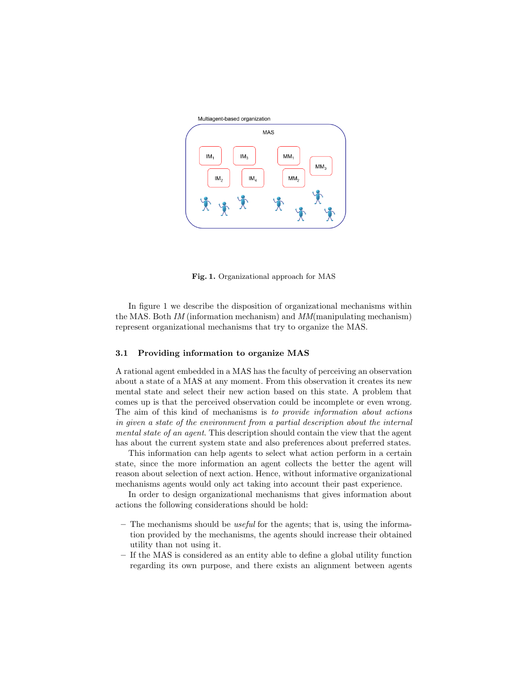

Fig. 1. Organizational approach for MAS

In figure 1 we describe the disposition of organizational mechanisms within the MAS. Both IM (information mechanism) and  $MM$ (manipulating mechanism) represent organizational mechanisms that try to organize the MAS.

#### 3.1 Providing information to organize MAS

A rational agent embedded in a MAS has the faculty of perceiving an observation about a state of a MAS at any moment. From this observation it creates its new mental state and select their new action based on this state. A problem that comes up is that the perceived observation could be incomplete or even wrong. The aim of this kind of mechanisms is to provide information about actions in given a state of the environment from a partial description about the internal mental state of an agent. This description should contain the view that the agent has about the current system state and also preferences about preferred states.

This information can help agents to select what action perform in a certain state, since the more information an agent collects the better the agent will reason about selection of next action. Hence, without informative organizational mechanisms agents would only act taking into account their past experience.

In order to design organizational mechanisms that gives information about actions the following considerations should be hold:

- The mechanisms should be *useful* for the agents; that is, using the information provided by the mechanisms, the agents should increase their obtained utility than not using it.
- If the MAS is considered as an entity able to define a global utility function regarding its own purpose, and there exists an alignment between agents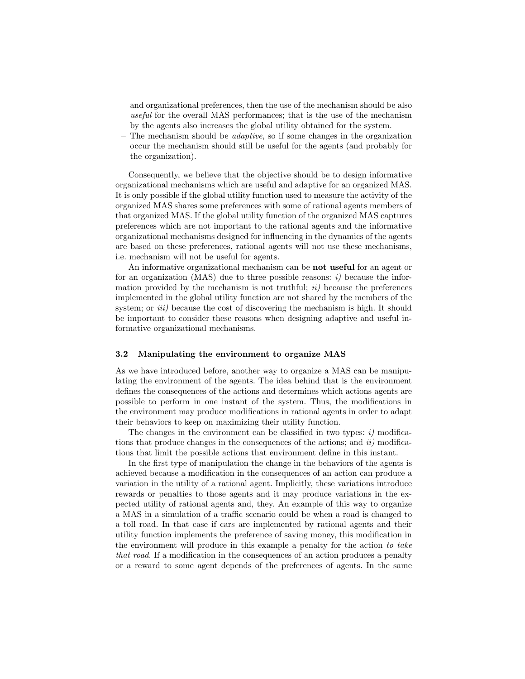and organizational preferences, then the use of the mechanism should be also useful for the overall MAS performances; that is the use of the mechanism by the agents also increases the global utility obtained for the system.

The mechanism should be *adaptive*, so if some changes in the organization occur the mechanism should still be useful for the agents (and probably for the organization).

Consequently, we believe that the objective should be to design informative organizational mechanisms which are useful and adaptive for an organized MAS. It is only possible if the global utility function used to measure the activity of the organized MAS shares some preferences with some of rational agents members of that organized MAS. If the global utility function of the organized MAS captures preferences which are not important to the rational agents and the informative organizational mechanisms designed for influencing in the dynamics of the agents are based on these preferences, rational agents will not use these mechanisms, i.e. mechanism will not be useful for agents.

An informative organizational mechanism can be **not useful** for an agent or for an organization (MAS) due to three possible reasons:  $i$ ) because the information provided by the mechanism is not truthful;  $ii)$  because the preferences implemented in the global utility function are not shared by the members of the system; or *iii*) because the cost of discovering the mechanism is high. It should be important to consider these reasons when designing adaptive and useful informative organizational mechanisms.

#### 3.2 Manipulating the environment to organize MAS

As we have introduced before, another way to organize a MAS can be manipulating the environment of the agents. The idea behind that is the environment defines the consequences of the actions and determines which actions agents are possible to perform in one instant of the system. Thus, the modifications in the environment may produce modifications in rational agents in order to adapt their behaviors to keep on maximizing their utility function.

The changes in the environment can be classified in two types:  $i)$  modifications that produce changes in the consequences of the actions; and  $ii$ ) modifications that limit the possible actions that environment define in this instant.

In the first type of manipulation the change in the behaviors of the agents is achieved because a modification in the consequences of an action can produce a variation in the utility of a rational agent. Implicitly, these variations introduce rewards or penalties to those agents and it may produce variations in the expected utility of rational agents and, they. An example of this way to organize a MAS in a simulation of a traffic scenario could be when a road is changed to a toll road. In that case if cars are implemented by rational agents and their utility function implements the preference of saving money, this modification in the environment will produce in this example a penalty for the action to take that road. If a modification in the consequences of an action produces a penalty or a reward to some agent depends of the preferences of agents. In the same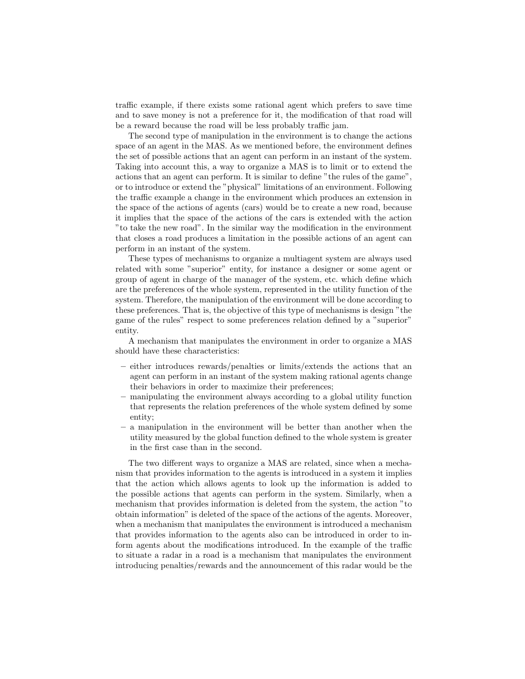traffic example, if there exists some rational agent which prefers to save time and to save money is not a preference for it, the modification of that road will be a reward because the road will be less probably traffic jam.

The second type of manipulation in the environment is to change the actions space of an agent in the MAS. As we mentioned before, the environment defines the set of possible actions that an agent can perform in an instant of the system. Taking into account this, a way to organize a MAS is to limit or to extend the actions that an agent can perform. It is similar to define "the rules of the game", or to introduce or extend the "physical" limitations of an environment. Following the traffic example a change in the environment which produces an extension in the space of the actions of agents (cars) would be to create a new road, because it implies that the space of the actions of the cars is extended with the action "to take the new road". In the similar way the modification in the environment that closes a road produces a limitation in the possible actions of an agent can perform in an instant of the system.

These types of mechanisms to organize a multiagent system are always used related with some "superior" entity, for instance a designer or some agent or group of agent in charge of the manager of the system, etc. which define which are the preferences of the whole system, represented in the utility function of the system. Therefore, the manipulation of the environment will be done according to these preferences. That is, the objective of this type of mechanisms is design "the game of the rules" respect to some preferences relation defined by a "superior" entity.

A mechanism that manipulates the environment in order to organize a MAS should have these characteristics:

- either introduces rewards/penalties or limits/extends the actions that an agent can perform in an instant of the system making rational agents change their behaviors in order to maximize their preferences;
- manipulating the environment always according to a global utility function that represents the relation preferences of the whole system defined by some entity;
- a manipulation in the environment will be better than another when the utility measured by the global function defined to the whole system is greater in the first case than in the second.

The two different ways to organize a MAS are related, since when a mechanism that provides information to the agents is introduced in a system it implies that the action which allows agents to look up the information is added to the possible actions that agents can perform in the system. Similarly, when a mechanism that provides information is deleted from the system, the action "to obtain information" is deleted of the space of the actions of the agents. Moreover, when a mechanism that manipulates the environment is introduced a mechanism that provides information to the agents also can be introduced in order to inform agents about the modifications introduced. In the example of the traffic to situate a radar in a road is a mechanism that manipulates the environment introducing penalties/rewards and the announcement of this radar would be the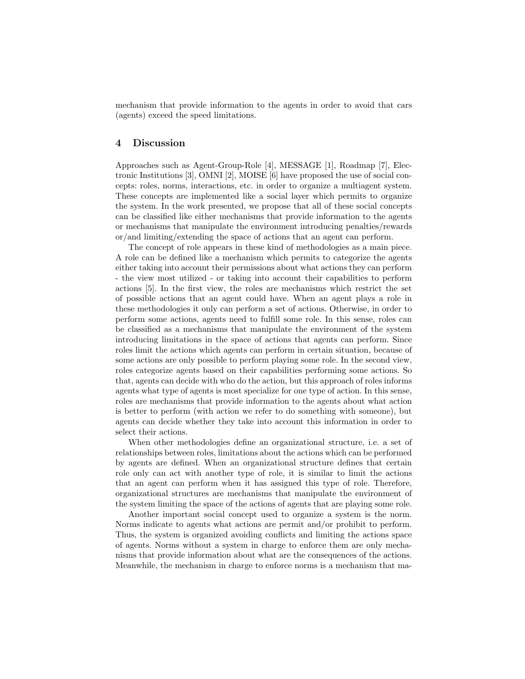mechanism that provide information to the agents in order to avoid that cars (agents) exceed the speed limitations.

## 4 Discussion

Approaches such as Agent-Group-Role [4], MESSAGE [1], Roadmap [7], Electronic Institutions [3], OMNI [2], MOISE [6] have proposed the use of social concepts: roles, norms, interactions, etc. in order to organize a multiagent system. These concepts are implemented like a social layer which permits to organize the system. In the work presented, we propose that all of these social concepts can be classified like either mechanisms that provide information to the agents or mechanisms that manipulate the environment introducing penalties/rewards or/and limiting/extending the space of actions that an agent can perform.

The concept of role appears in these kind of methodologies as a main piece. A role can be defined like a mechanism which permits to categorize the agents either taking into account their permissions about what actions they can perform - the view most utilized - or taking into account their capabilities to perform actions [5]. In the first view, the roles are mechanisms which restrict the set of possible actions that an agent could have. When an agent plays a role in these methodologies it only can perform a set of actions. Otherwise, in order to perform some actions, agents need to fulfill some role. In this sense, roles can be classified as a mechanisms that manipulate the environment of the system introducing limitations in the space of actions that agents can perform. Since roles limit the actions which agents can perform in certain situation, because of some actions are only possible to perform playing some role. In the second view, roles categorize agents based on their capabilities performing some actions. So that, agents can decide with who do the action, but this approach of roles informs agents what type of agents is most specialize for one type of action. In this sense, roles are mechanisms that provide information to the agents about what action is better to perform (with action we refer to do something with someone), but agents can decide whether they take into account this information in order to select their actions.

When other methodologies define an organizational structure, i.e. a set of relationships between roles, limitations about the actions which can be performed by agents are defined. When an organizational structure defines that certain role only can act with another type of role, it is similar to limit the actions that an agent can perform when it has assigned this type of role. Therefore, organizational structures are mechanisms that manipulate the environment of the system limiting the space of the actions of agents that are playing some role.

Another important social concept used to organize a system is the norm. Norms indicate to agents what actions are permit and/or prohibit to perform. Thus, the system is organized avoiding conflicts and limiting the actions space of agents. Norms without a system in charge to enforce them are only mechanisms that provide information about what are the consequences of the actions. Meanwhile, the mechanism in charge to enforce norms is a mechanism that ma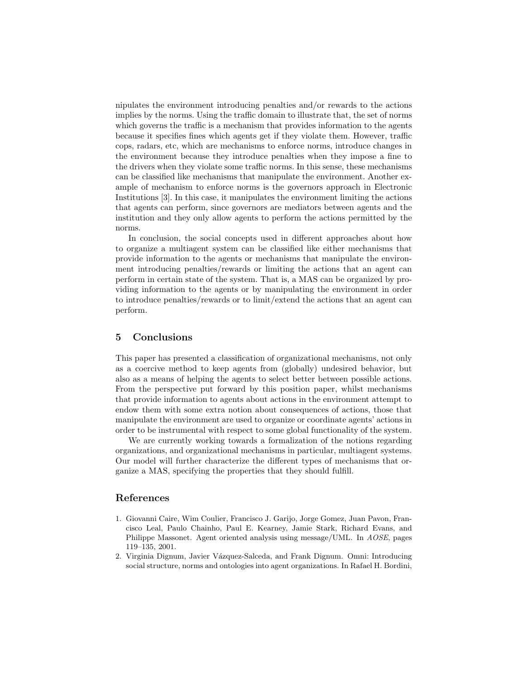nipulates the environment introducing penalties and/or rewards to the actions implies by the norms. Using the traffic domain to illustrate that, the set of norms which governs the traffic is a mechanism that provides information to the agents because it specifies fines which agents get if they violate them. However, traffic cops, radars, etc, which are mechanisms to enforce norms, introduce changes in the environment because they introduce penalties when they impose a fine to the drivers when they violate some traffic norms. In this sense, these mechanisms can be classified like mechanisms that manipulate the environment. Another example of mechanism to enforce norms is the governors approach in Electronic Institutions [3]. In this case, it manipulates the environment limiting the actions that agents can perform, since governors are mediators between agents and the institution and they only allow agents to perform the actions permitted by the norms.

In conclusion, the social concepts used in different approaches about how to organize a multiagent system can be classified like either mechanisms that provide information to the agents or mechanisms that manipulate the environment introducing penalties/rewards or limiting the actions that an agent can perform in certain state of the system. That is, a MAS can be organized by providing information to the agents or by manipulating the environment in order to introduce penalties/rewards or to limit/extend the actions that an agent can perform.

# 5 Conclusions

This paper has presented a classification of organizational mechanisms, not only as a coercive method to keep agents from (globally) undesired behavior, but also as a means of helping the agents to select better between possible actions. From the perspective put forward by this position paper, whilst mechanisms that provide information to agents about actions in the environment attempt to endow them with some extra notion about consequences of actions, those that manipulate the environment are used to organize or coordinate agents' actions in order to be instrumental with respect to some global functionality of the system.

We are currently working towards a formalization of the notions regarding organizations, and organizational mechanisms in particular, multiagent systems. Our model will further characterize the different types of mechanisms that organize a MAS, specifying the properties that they should fulfill.

#### References

- 1. Giovanni Caire, Wim Coulier, Francisco J. Garijo, Jorge Gomez, Juan Pavon, Francisco Leal, Paulo Chainho, Paul E. Kearney, Jamie Stark, Richard Evans, and Philippe Massonet. Agent oriented analysis using message/UML. In AOSE, pages 119–135, 2001.
- 2. Virginia Dignum, Javier Vázquez-Salceda, and Frank Dignum. Omni: Introducing social structure, norms and ontologies into agent organizations. In Rafael H. Bordini,